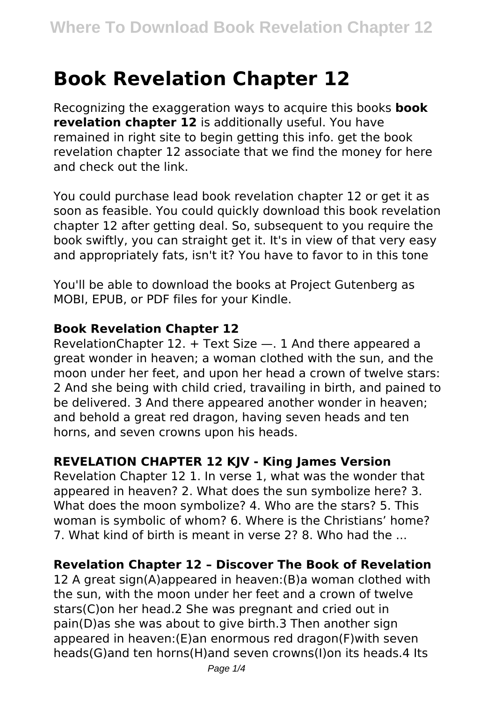# **Book Revelation Chapter 12**

Recognizing the exaggeration ways to acquire this books **book revelation chapter 12** is additionally useful. You have remained in right site to begin getting this info. get the book revelation chapter 12 associate that we find the money for here and check out the link.

You could purchase lead book revelation chapter 12 or get it as soon as feasible. You could quickly download this book revelation chapter 12 after getting deal. So, subsequent to you require the book swiftly, you can straight get it. It's in view of that very easy and appropriately fats, isn't it? You have to favor to in this tone

You'll be able to download the books at Project Gutenberg as MOBI, EPUB, or PDF files for your Kindle.

#### **Book Revelation Chapter 12**

RevelationChapter 12. + Text Size —. 1 And there appeared a great wonder in heaven; a woman clothed with the sun, and the moon under her feet, and upon her head a crown of twelve stars: 2 And she being with child cried, travailing in birth, and pained to be delivered. 3 And there appeared another wonder in heaven; and behold a great red dragon, having seven heads and ten horns, and seven crowns upon his heads.

## **REVELATION CHAPTER 12 KJV - King James Version**

Revelation Chapter 12 1. In verse 1, what was the wonder that appeared in heaven? 2. What does the sun symbolize here? 3. What does the moon symbolize? 4. Who are the stars? 5. This woman is symbolic of whom? 6. Where is the Christians' home? 7. What kind of birth is meant in verse 2? 8. Who had the ...

## **Revelation Chapter 12 – Discover The Book of Revelation**

12 A great sign(A)appeared in heaven:(B)a woman clothed with the sun, with the moon under her feet and a crown of twelve stars(C)on her head.2 She was pregnant and cried out in pain(D)as she was about to give birth.3 Then another sign appeared in heaven:(E)an enormous red dragon(F)with seven heads(G)and ten horns(H)and seven crowns(I)on its heads.4 Its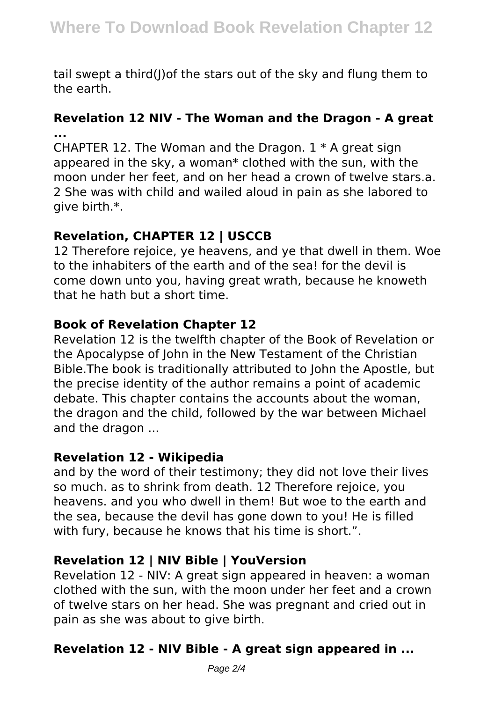tail swept a third(I) of the stars out of the sky and flung them to the earth.

### **Revelation 12 NIV - The Woman and the Dragon - A great ...**

CHAPTER 12. The Woman and the Dragon.  $1 * A$  great sign appeared in the sky, a woman\* clothed with the sun, with the moon under her feet, and on her head a crown of twelve stars.a. 2 She was with child and wailed aloud in pain as she labored to give birth.\*.

## **Revelation, CHAPTER 12 | USCCB**

12 Therefore rejoice, ye heavens, and ye that dwell in them. Woe to the inhabiters of the earth and of the sea! for the devil is come down unto you, having great wrath, because he knoweth that he hath but a short time.

#### **Book of Revelation Chapter 12**

Revelation 12 is the twelfth chapter of the Book of Revelation or the Apocalypse of John in the New Testament of the Christian Bible.The book is traditionally attributed to John the Apostle, but the precise identity of the author remains a point of academic debate. This chapter contains the accounts about the woman, the dragon and the child, followed by the war between Michael and the dragon ...

## **Revelation 12 - Wikipedia**

and by the word of their testimony; they did not love their lives so much. as to shrink from death. 12 Therefore rejoice, you heavens. and you who dwell in them! But woe to the earth and the sea, because the devil has gone down to you! He is filled with fury, because he knows that his time is short.".

## **Revelation 12 | NIV Bible | YouVersion**

Revelation 12 - NIV: A great sign appeared in heaven: a woman clothed with the sun, with the moon under her feet and a crown of twelve stars on her head. She was pregnant and cried out in pain as she was about to give birth.

## **Revelation 12 - NIV Bible - A great sign appeared in ...**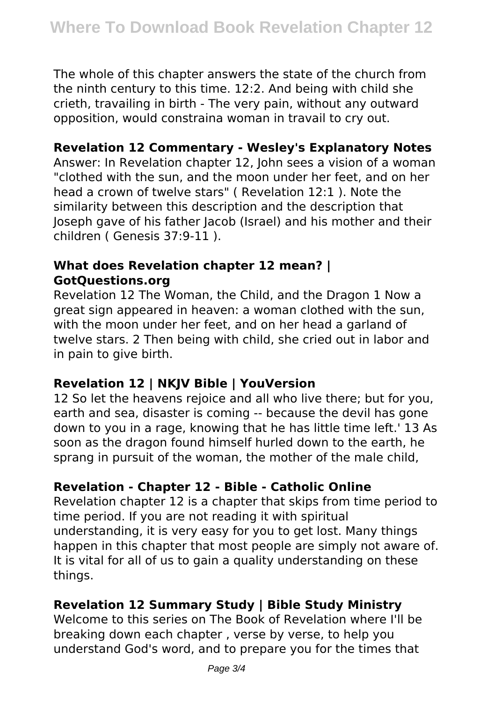The whole of this chapter answers the state of the church from the ninth century to this time. 12:2. And being with child she crieth, travailing in birth - The very pain, without any outward opposition, would constraina woman in travail to cry out.

## **Revelation 12 Commentary - Wesley's Explanatory Notes**

Answer: In Revelation chapter 12, John sees a vision of a woman "clothed with the sun, and the moon under her feet, and on her head a crown of twelve stars" ( Revelation 12:1 ). Note the similarity between this description and the description that Joseph gave of his father Jacob (Israel) and his mother and their children ( Genesis 37:9-11 ).

### **What does Revelation chapter 12 mean? | GotQuestions.org**

Revelation 12 The Woman, the Child, and the Dragon 1 Now a great sign appeared in heaven: a woman clothed with the sun, with the moon under her feet, and on her head a garland of twelve stars. 2 Then being with child, she cried out in labor and in pain to give birth.

## **Revelation 12 | NKJV Bible | YouVersion**

12 So let the heavens rejoice and all who live there; but for you, earth and sea, disaster is coming -- because the devil has gone down to you in a rage, knowing that he has little time left.' 13 As soon as the dragon found himself hurled down to the earth, he sprang in pursuit of the woman, the mother of the male child,

## **Revelation - Chapter 12 - Bible - Catholic Online**

Revelation chapter 12 is a chapter that skips from time period to time period. If you are not reading it with spiritual understanding, it is very easy for you to get lost. Many things happen in this chapter that most people are simply not aware of. It is vital for all of us to gain a quality understanding on these things.

# **Revelation 12 Summary Study | Bible Study Ministry**

Welcome to this series on The Book of Revelation where I'll be breaking down each chapter , verse by verse, to help you understand God's word, and to prepare you for the times that